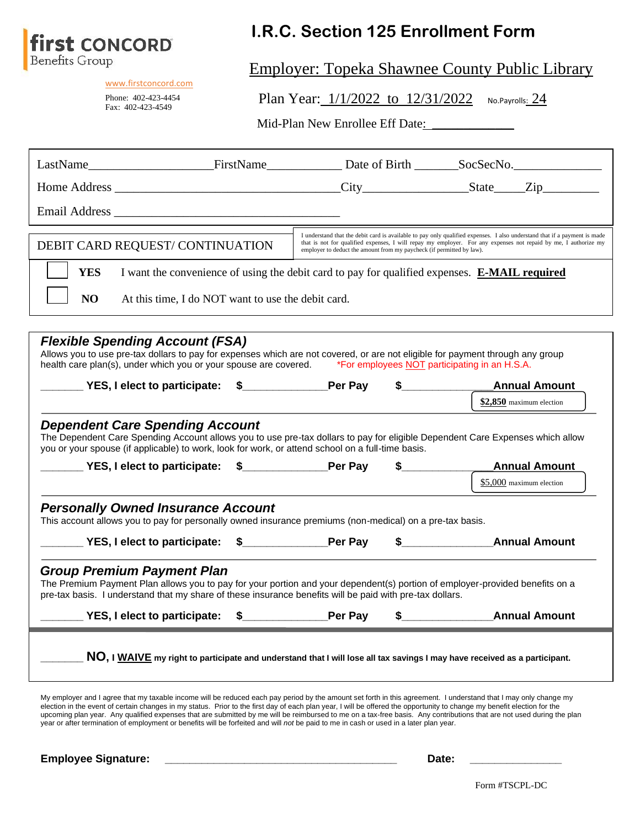

[www.firstconcord.com](http://www.firstconcord.com/) Phone: 402-423-4454 Fax: 402-423-4549

# **I.R.C. Section 125 Enrollment Form**

Employer: Topeka Shawnee County Public Library

Plan Year: 1/1/2022 to 12/31/2022 No.Payrolls: 24

Mid-Plan New Enrollee Eff Date:

| DEBIT CARD REQUEST/CONTINUATION                                                                                                                                                                                                                                                                                                                                                                                                                                                                                                                                                                                                                                 |                                                    | employer to deduct the amount from my paycheck (if permitted by law). | I understand that the debit card is available to pay only qualified expenses. I also understand that if a payment is made<br>that is not for qualified expenses, I will repay my employer. For any expenses not repaid by me, I authorize my |
|-----------------------------------------------------------------------------------------------------------------------------------------------------------------------------------------------------------------------------------------------------------------------------------------------------------------------------------------------------------------------------------------------------------------------------------------------------------------------------------------------------------------------------------------------------------------------------------------------------------------------------------------------------------------|----------------------------------------------------|-----------------------------------------------------------------------|----------------------------------------------------------------------------------------------------------------------------------------------------------------------------------------------------------------------------------------------|
| <b>YES</b>                                                                                                                                                                                                                                                                                                                                                                                                                                                                                                                                                                                                                                                      |                                                    |                                                                       | I want the convenience of using the debit card to pay for qualified expenses. E-MAIL required                                                                                                                                                |
| NO                                                                                                                                                                                                                                                                                                                                                                                                                                                                                                                                                                                                                                                              | At this time, I do NOT want to use the debit card. |                                                                       |                                                                                                                                                                                                                                              |
| <b>Flexible Spending Account (FSA)</b><br>Allows you to use pre-tax dollars to pay for expenses which are not covered, or are not eligible for payment through any group<br>health care plan(s), under which you or your spouse are covered. *For employees NOT participating in an H.S.A.                                                                                                                                                                                                                                                                                                                                                                      |                                                    |                                                                       |                                                                                                                                                                                                                                              |
|                                                                                                                                                                                                                                                                                                                                                                                                                                                                                                                                                                                                                                                                 |                                                    |                                                                       | <b>Annual Amount</b><br>$$2,850$ maximum election                                                                                                                                                                                            |
| _____ YES, I elect to participate: \$______________Per Pay \$__________<br><b>Personally Owned Insurance Account</b><br>This account allows you to pay for personally owned insurance premiums (non-medical) on a pre-tax basis.                                                                                                                                                                                                                                                                                                                                                                                                                                |                                                    |                                                                       | <b>Annual Amount</b><br>$$5,000$ maximum election                                                                                                                                                                                            |
|                                                                                                                                                                                                                                                                                                                                                                                                                                                                                                                                                                                                                                                                 |                                                    |                                                                       | _____ YES, I elect to participate: \$____________Per Pay \$_______________________Annual Amount                                                                                                                                              |
| <b>Group Premium Payment Plan</b><br>The Premium Payment Plan allows you to pay for your portion and your dependent(s) portion of employer-provided benefits on a<br>pre-tax basis. I understand that my share of these insurance benefits will be paid with pre-tax dollars.                                                                                                                                                                                                                                                                                                                                                                                   |                                                    |                                                                       |                                                                                                                                                                                                                                              |
| YES, I elect to participate: \$                                                                                                                                                                                                                                                                                                                                                                                                                                                                                                                                                                                                                                 |                                                    | $\mathsf{Par} \ \mathsf{Pav}$ $\mathsf{R}$                            | Annual Amount                                                                                                                                                                                                                                |
| My employer and I agree that my taxable income will be reduced each pay period by the amount set forth in this agreement. I understand that I may only change my<br>election in the event of certain changes in my status. Prior to the first day of each plan year, I will be offered the opportunity to change my benefit election for the<br>upcoming plan year. Any qualified expenses that are submitted by me will be reimbursed to me on a tax-free basis. Any contributions that are not used during the plan<br>year or after termination of employment or benefits will be forfeited and will not be paid to me in cash or used in a later plan year. |                                                    |                                                                       | NO, I WAIVE my right to participate and understand that I will lose all tax savings I may have received as a participant.                                                                                                                    |
| <b>Employee Signature:</b>                                                                                                                                                                                                                                                                                                                                                                                                                                                                                                                                                                                                                                      |                                                    |                                                                       | Date:                                                                                                                                                                                                                                        |

Form #TSCPL-DC